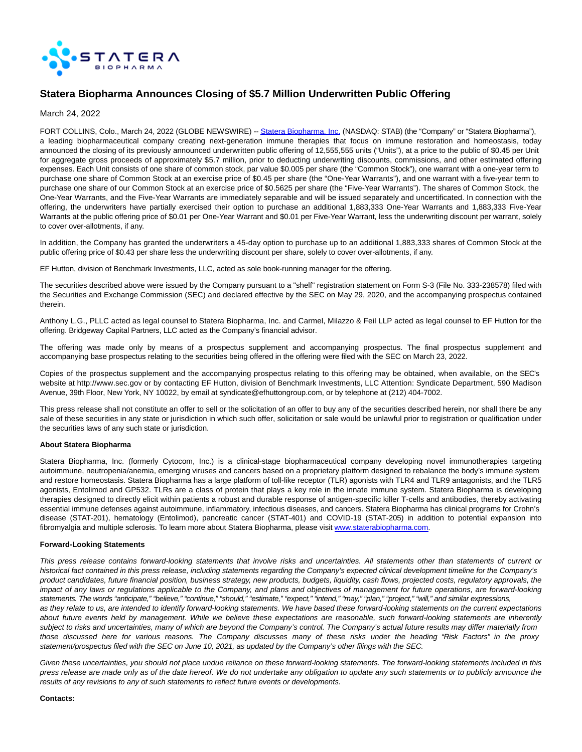

# **Statera Biopharma Announces Closing of \$5.7 Million Underwritten Public Offering**

March 24, 2022

FORT COLLINS, Colo., March 24, 2022 (GLOBE NEWSWIRE) -[- Statera Biopharma, Inc. \(](https://www.globenewswire.com/Tracker?data=pyTcFgpFkuxWR1Kl0BfvKuvOI_mr4KH9yGlk3KRFtg3ft2QtuLi2q144EoF9mSDEaeCQM6Ii_PCmB8qMVMg1p-2IZbfped-pqxKy5xzvsTU=)NASDAQ: STAB) (the "Company" or "Statera Biopharma"), a leading biopharmaceutical company creating next-generation immune therapies that focus on immune restoration and homeostasis, today announced the closing of its previously announced underwritten public offering of 12,555,555 units ("Units"), at a price to the public of \$0.45 per Unit for aggregate gross proceeds of approximately \$5.7 million, prior to deducting underwriting discounts, commissions, and other estimated offering expenses. Each Unit consists of one share of common stock, par value \$0.005 per share (the "Common Stock"), one warrant with a one-year term to purchase one share of Common Stock at an exercise price of \$0.45 per share (the "One-Year Warrants"), and one warrant with a five-year term to purchase one share of our Common Stock at an exercise price of \$0.5625 per share (the "Five-Year Warrants"). The shares of Common Stock, the One-Year Warrants, and the Five-Year Warrants are immediately separable and will be issued separately and uncertificated. In connection with the offering, the underwriters have partially exercised their option to purchase an additional 1,883,333 One-Year Warrants and 1,883,333 Five-Year Warrants at the public offering price of \$0.01 per One-Year Warrant and \$0.01 per Five-Year Warrant, less the underwriting discount per warrant, solely to cover over-allotments, if any.

In addition, the Company has granted the underwriters a 45-day option to purchase up to an additional 1,883,333 shares of Common Stock at the public offering price of \$0.43 per share less the underwriting discount per share, solely to cover over-allotments, if any.

EF Hutton, division of Benchmark Investments, LLC, acted as sole book-running manager for the offering.

The securities described above were issued by the Company pursuant to a "shelf" registration statement on Form S-3 (File No. 333-238578) filed with the Securities and Exchange Commission (SEC) and declared effective by the SEC on May 29, 2020, and the accompanying prospectus contained therein.

Anthony L.G., PLLC acted as legal counsel to Statera Biopharma, Inc. and Carmel, Milazzo & Feil LLP acted as legal counsel to EF Hutton for the offering. Bridgeway Capital Partners, LLC acted as the Company's financial advisor.

The offering was made only by means of a prospectus supplement and accompanying prospectus. The final prospectus supplement and accompanying base prospectus relating to the securities being offered in the offering were filed with the SEC on March 23, 2022.

Copies of the prospectus supplement and the accompanying prospectus relating to this offering may be obtained, when available, on the SEC's website at http://www.sec.gov or by contacting EF Hutton, division of Benchmark Investments, LLC Attention: Syndicate Department, 590 Madison Avenue, 39th Floor, New York, NY 10022, by email at syndicate@efhuttongroup.com, or by telephone at (212) 404-7002.

This press release shall not constitute an offer to sell or the solicitation of an offer to buy any of the securities described herein, nor shall there be any sale of these securities in any state or jurisdiction in which such offer, solicitation or sale would be unlawful prior to registration or qualification under the securities laws of any such state or jurisdiction.

### **About Statera Biopharma**

Statera Biopharma, Inc. (formerly Cytocom, Inc.) is a clinical-stage biopharmaceutical company developing novel immunotherapies targeting autoimmune, neutropenia/anemia, emerging viruses and cancers based on a proprietary platform designed to rebalance the body's immune system and restore homeostasis. Statera Biopharma has a large platform of toll-like receptor (TLR) agonists with TLR4 and TLR9 antagonists, and the TLR5 agonists, Entolimod and GP532. TLRs are a class of protein that plays a key role in the innate immune system. Statera Biopharma is developing therapies designed to directly elicit within patients a robust and durable response of antigen-specific killer T-cells and antibodies, thereby activating essential immune defenses against autoimmune, inflammatory, infectious diseases, and cancers. Statera Biopharma has clinical programs for Crohn's disease (STAT-201), hematology (Entolimod), pancreatic cancer (STAT-401) and COVID-19 (STAT-205) in addition to potential expansion into fibromyalgia and multiple sclerosis. To learn more about Statera Biopharma, please visit [www.staterabiopharma.com.](https://www.globenewswire.com/Tracker?data=9SM1W6o6oH45wvCnXK2UMUiIoG7OgX3upEFtUcRC0WceiV074ZCMxc5BrH9_MflqlHWkU963WynSxh3xTCUDWdkg5SD7hjcDb84pZnebDxQ=)

#### **Forward-Looking Statements**

This press release contains forward-looking statements that involve risks and uncertainties. All statements other than statements of current or historical fact contained in this press release, including statements regarding the Company's expected clinical development timeline for the Company's product candidates, future financial position, business strategy, new products, budgets, liquidity, cash flows, projected costs, regulatory approvals, the impact of any laws or regulations applicable to the Company, and plans and objectives of management for future operations, are forward-looking statements. The words "anticipate," "believe," "continue," "should," "estimate," "expect," "intend," "may," "plan," "project," "will," and similar expressions, as they relate to us, are intended to identify forward-looking statements. We have based these forward-looking statements on the current expectations about future events held by management. While we believe these expectations are reasonable, such forward-looking statements are inherently subject to risks and uncertainties, many of which are beyond the Company's control. The Company's actual future results may differ materially from those discussed here for various reasons. The Company discusses many of these risks under the heading "Risk Factors" in the proxy statement/prospectus filed with the SEC on June 10, 2021, as updated by the Company's other filings with the SEC.

Given these uncertainties, you should not place undue reliance on these forward-looking statements. The forward-looking statements included in this press release are made only as of the date hereof. We do not undertake any obligation to update any such statements or to publicly announce the results of any revisions to any of such statements to reflect future events or developments.

#### **Contacts:**